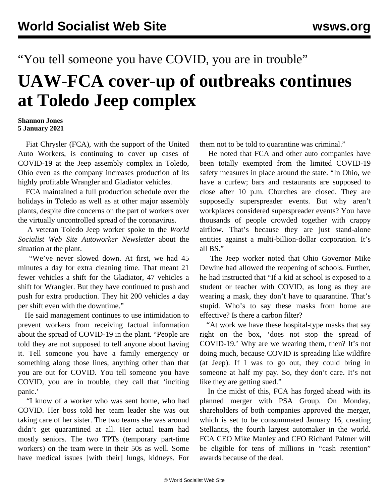## "You tell someone you have COVID, you are in trouble"

## **UAW-FCA cover-up of outbreaks continues at Toledo Jeep complex**

## **Shannon Jones 5 January 2021**

 Fiat Chrysler (FCA), with the support of the United Auto Workers, is continuing to cover up cases of COVID-19 at the Jeep assembly complex in Toledo, Ohio even as the company increases production of its highly profitable Wrangler and Gladiator vehicles.

 FCA maintained a full production schedule over the holidays in Toledo as well as at other major assembly plants, despite dire concerns on the part of workers over the virtually uncontrolled spread of the coronavirus.

 A veteran Toledo Jeep worker spoke to the *World Socialist Web Site Autoworker Newsletter* about the situation at the plant.

 "We've never slowed down. At first, we had 45 minutes a day for extra cleaning time. That meant 21 fewer vehicles a shift for the Gladiator, 47 vehicles a shift for Wrangler. But they have continued to push and push for extra production. They hit 200 vehicles a day per shift even with the downtime."

 He said management continues to use intimidation to prevent workers from receiving factual information about the spread of COVID-19 in the plant. "People are told they are not supposed to tell anyone about having it. Tell someone you have a family emergency or something along those lines, anything other than that you are out for COVID. You tell someone you have COVID, you are in trouble, they call that 'inciting panic.'

 "I know of a worker who was sent home, who had COVID. Her boss told her team leader she was out taking care of her sister. The two teams she was around didn't get quarantined at all. Her actual team had mostly seniors. The two TPTs (temporary part-time workers) on the team were in their 50s as well. Some have medical issues [with their] lungs, kidneys. For them not to be told to quarantine was criminal."

 He noted that FCA and other auto companies have been totally exempted from the limited COVID-19 safety measures in place around the state. "In Ohio, we have a curfew; bars and restaurants are supposed to close after 10 p.m. Churches are closed. They are supposedly superspreader events. But why aren't workplaces considered superspreader events? You have thousands of people crowded together with crappy airflow. That's because they are just stand-alone entities against a multi-billion-dollar corporation. It's all BS."

 The Jeep worker noted that Ohio Governor Mike Dewine had allowed the reopening of schools. Further, he had instructed that "If a kid at school is exposed to a student or teacher with COVID, as long as they are wearing a mask, they don't have to quarantine. That's stupid. Who's to say these masks from home are effective? Is there a carbon filter?

 "At work we have these hospital-type masks that say right on the box, 'does not stop the spread of COVID-19.' Why are we wearing them, then? It's not doing much, because COVID is spreading like wildfire (at Jeep). If I was to go out, they could bring in someone at half my pay. So, they don't care. It's not like they are getting sued."

 In the midst of this, FCA has forged ahead with its planned merger with PSA Group. On Monday, shareholders of both companies approved the merger, which is set to be consummated January 16, creating Stellantis, the fourth largest automaker in the world. FCA CEO Mike Manley and CFO Richard Palmer will be eligible for tens of millions in "cash retention" awards because of the deal.